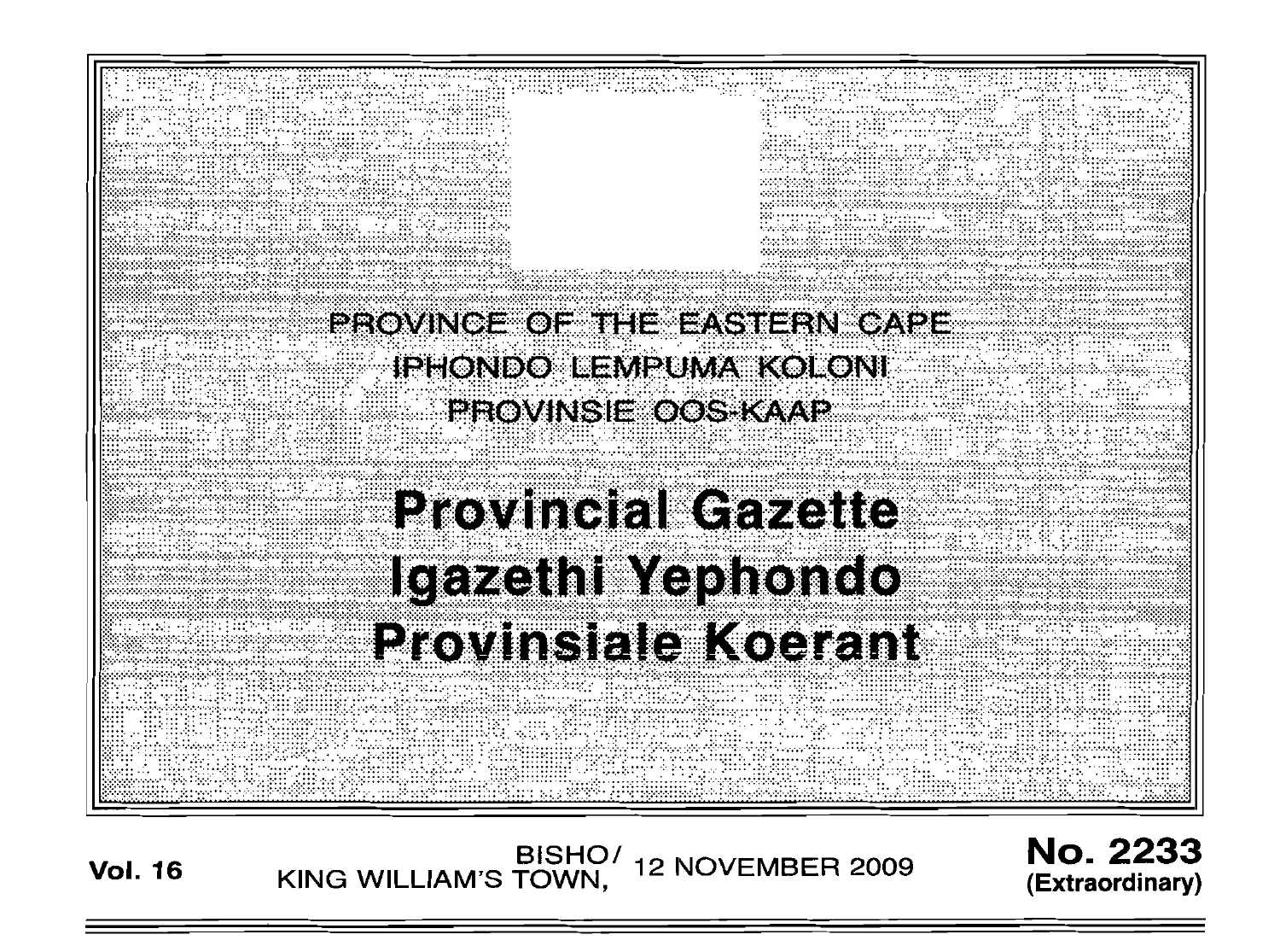# PROVINCE OF THE EASTERN CAPE **IPHONDO LEMPUMA KOLONI** PROVINSIE OOS KAAP

....:.:.:;::;*ii*E~/ *i/*U: ~! . ...

# **Provincial Gazette** Igazethi Yephondo

**Provinsiale Koerani** 

BISHO/ KING WILLIAM'S TOWN, 12 NOVEMBER 2009 No. 2233 **(Extraordinary)**

Vol. 16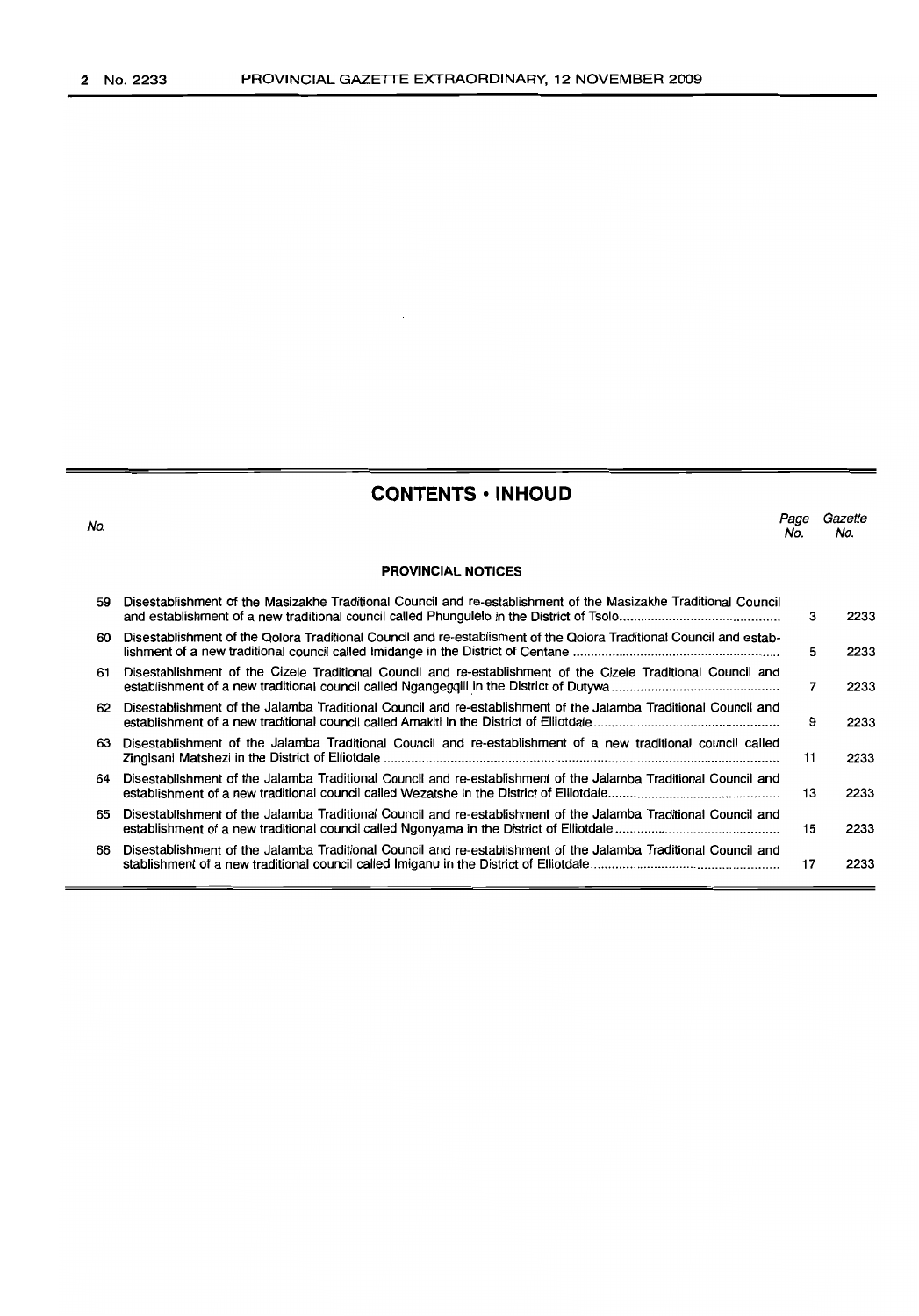No.

# **CONTENTS • INHOUD**

Page Gazette No. No.

| <b>PROVINCIAL NOTICES</b> |                                                                                                                     |    |      |
|---------------------------|---------------------------------------------------------------------------------------------------------------------|----|------|
| 59.                       | Disestablishment of the Masizakhe Traditional Council and re-establishment of the Masizakhe Traditional Council     | 3  | 2233 |
| 60.                       | Disestablishment of the Qolora Traditional Council and re-establisment of the Qolora Traditional Council and estab- | 5. | 2233 |
| 61.                       | Disestablishment of the Cizele Traditional Council and re-establishment of the Cizele Traditional Council and       | 7  | 2233 |
| 62                        | Disestablishment of the Jalamba Traditional Council and re-establishment of the Jalamba Traditional Council and     | 9  | 2233 |
| 63.                       | Disestablishment of the Jalamba Traditional Council and re-establishment of a new traditional council called        | 11 | 2233 |
| 64                        | Disestablishment of the Jalamba Traditional Council and re-establishment of the Jalamba Traditional Council and     | 13 | 2233 |
| 65.                       | Disestablishment of the Jalamba Traditional Council and re-establishment of the Jalamba Traditional Council and     | 15 | 2233 |
| 66                        | Disestablishment of the Jalamba Traditional Council and re-establishment of the Jalamba Traditional Council and     | 17 | 2233 |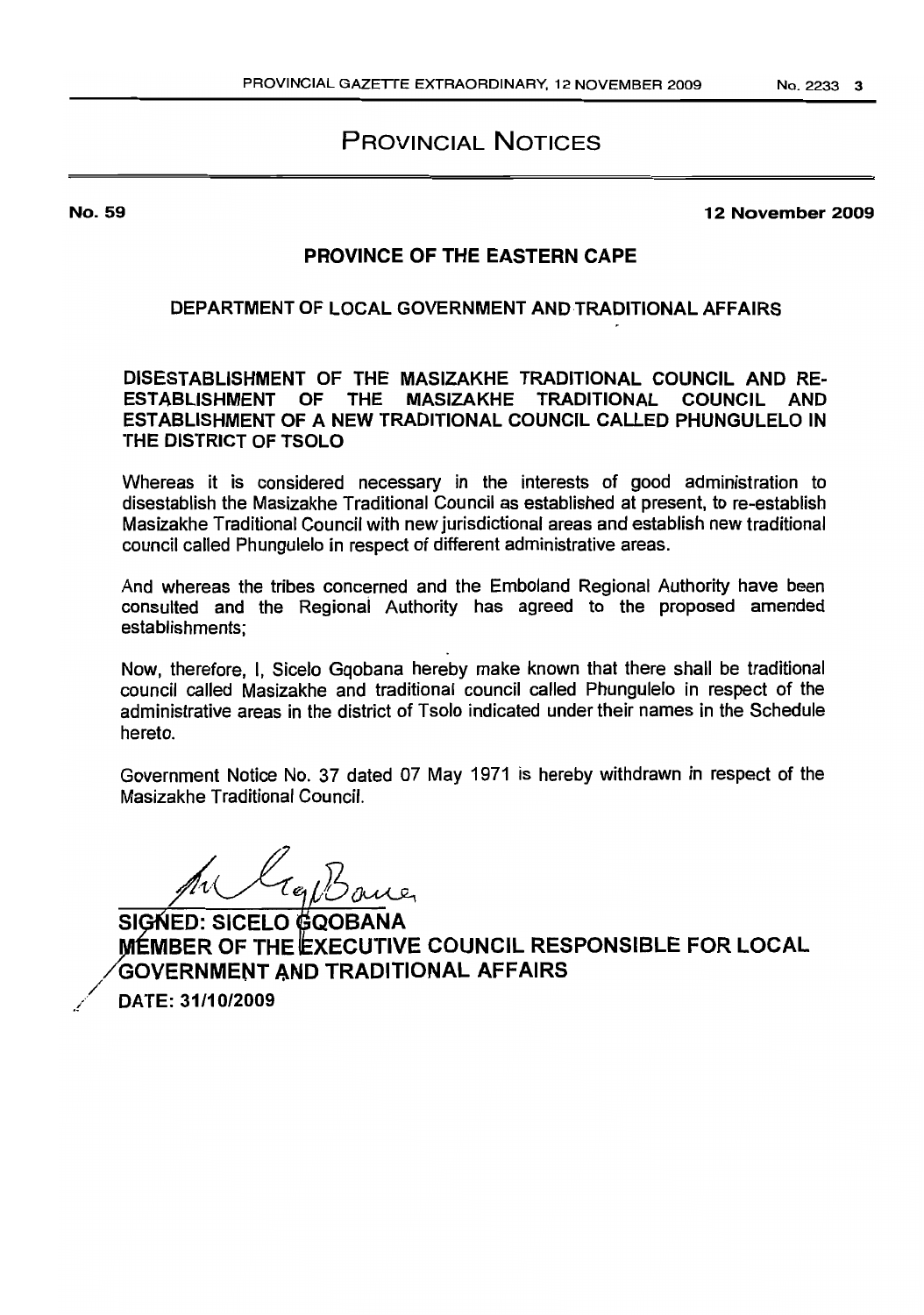# PROVINCIAL NOTICES

No. 59

12 November 2009

# PROVINCE OF THE EASTERN CAPE

# DEPARTMENT OF LOCAL GOVERNMENT AND TRADITIONAL AFFAIRS

DISESTABLISHMENT OF THE MASIZAKHE TRADITIONAL COUNCIL AND RE-ESTABLISHMENT OF THE MASIZAKHE TRADITIONAL COUNCIL AND ESTABLISHMENT OF A NEW TRADITIONAL COUNCIL CALLED PHUNGULELO IN THE DISTRICT OF TSOLO

Whereas it is considered necessary in the interests of good administration to disestablish the Masizakhe Traditional Council as established at present, to re-establish Masizakhe Traditional Council with new jurisdictional areas and establish new traditional council called Phungulelo in respect of different administrative areas.

And whereas the tribes concerned and the Emboland Regional Authority have been consulted and the Regional Authority has agreed to the proposed amended establishments;

Now, therefore, I, Sicelo Gqobana hereby make known that there shall be traditional council called Masizakhe and traditional council called Phungulelo in respect of the administrative areas in the district of Tsolo indicated under their names in the Schedule hereto.

Government Notice No. 37 dated 07 May 1971 is hereby withdrawn in respect of the Masizakhe Traditional Council.

TepBane

SIGNED: SICELO GQOBANA MÉMBER OF THE EXECUTIVE COUNCIL RESPONSIBLE FOR LOCAL GOVERNMENT AND TRADITIONAL AFFAIRS .// DATE: 31/10/2009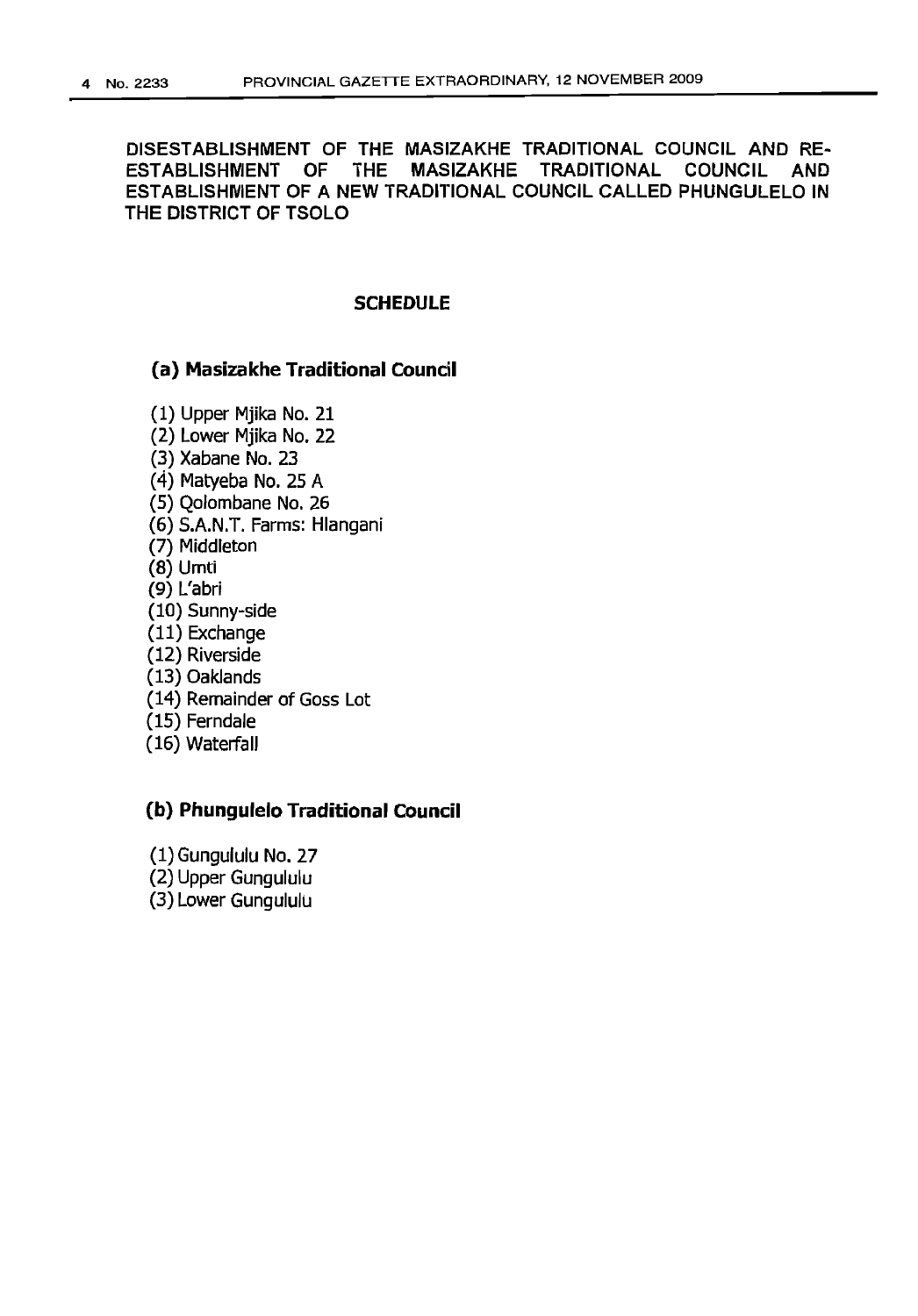DISESTABLISHMENT OF THE MASIZAKHE TRADITIONAL COUNCIL AND RE-ESTABLISHMENT OF THE MASIZAKHE TRADITIONAL COUNCIL AND ESTABLISHMENT OF A NEW TRADITIONAL COUNCIL CALLED PHUNGULELO IN THE DISTRICT OF TSOLO

#### **SCHEDULE**

#### (a) Masizakhe Traditional Council

(1) Upper Mjika No. 21 (2) Lower Mjika No. 22 (3) Xabane No. 23 (4) Matyeba No. 25 A (5) Qolombane No. 26 (6) S.A.N.T. Farms: Hlangani (7) Middleton (8) Umti (9) L'abri (10) Sunny-side (11) Exchange (12) Riverside (13) Oaklands (14) Remainder of Goss Lot (15) Ferndale (16) Waterfall

# (b) Phungulelo Traditional Council

(1) Gungululu No. 27 (2) Upper Gungululu (3) Lower Gungululu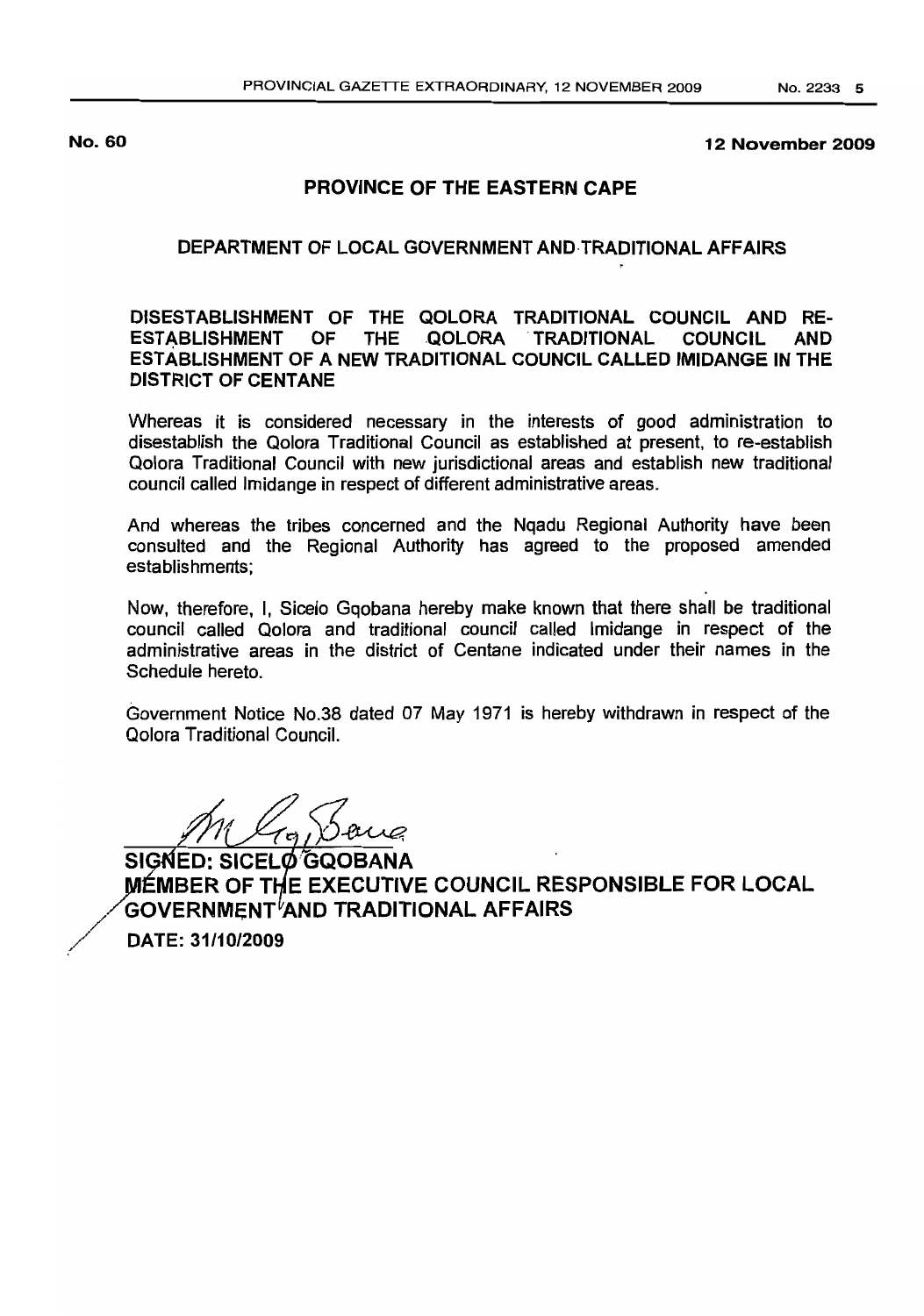#### No. 60 12 November 2009

# PROVINCE OF THE EASTERN CAPE

# DEPARTMENT OF LOCAL GOVERNMENT ANDTRADITIONAL AFFAIRS

# DISESTABLISHMENT OF THE QOLORA TRADITIONAL COUNCIL AND RE-ESTABLISHMENT OF THE QOLORA TRADITIONAL COUNCIL AND ESTABLISHMENT OF A NEW TRADITIONAL COUNCIL CALLED IMIDANGE IN THE DISTRICT OF CENTANE

Whereas it is considered necessary in the interests of good administration to disestablish the Oolora Traditional Council as established at present, to re-establish Oolora Traditional Council with new jurisdictional areas and establish new traditional council called Imidange in respect of different administrative areas.

And whereas the tribes concerned and the Nqadu Regional Authority have been consulted and the Regional Authority has agreed to the proposed amended establishments;

Now, therefore, I, Sicelo Gqobana hereby make known that there shall be traditional council called Oolora and traditional council called Imidange in respect of the administrative areas in the district of Centane indicated under their names in the Schedule hereto.

Government Notice NO.38 dated 07 May 1971 is hereby withdrawn in respect of the Oolora Traditional Council.

.Jaug

SIGNED: SICELO GQOBANA MÉMBER OF THE EXECUTIVE COUNCIL RESPONSIBLE FOR LOCAL  $GOVERNMENT <sup>1</sup>AND TRADITIONAL AFFAIRS$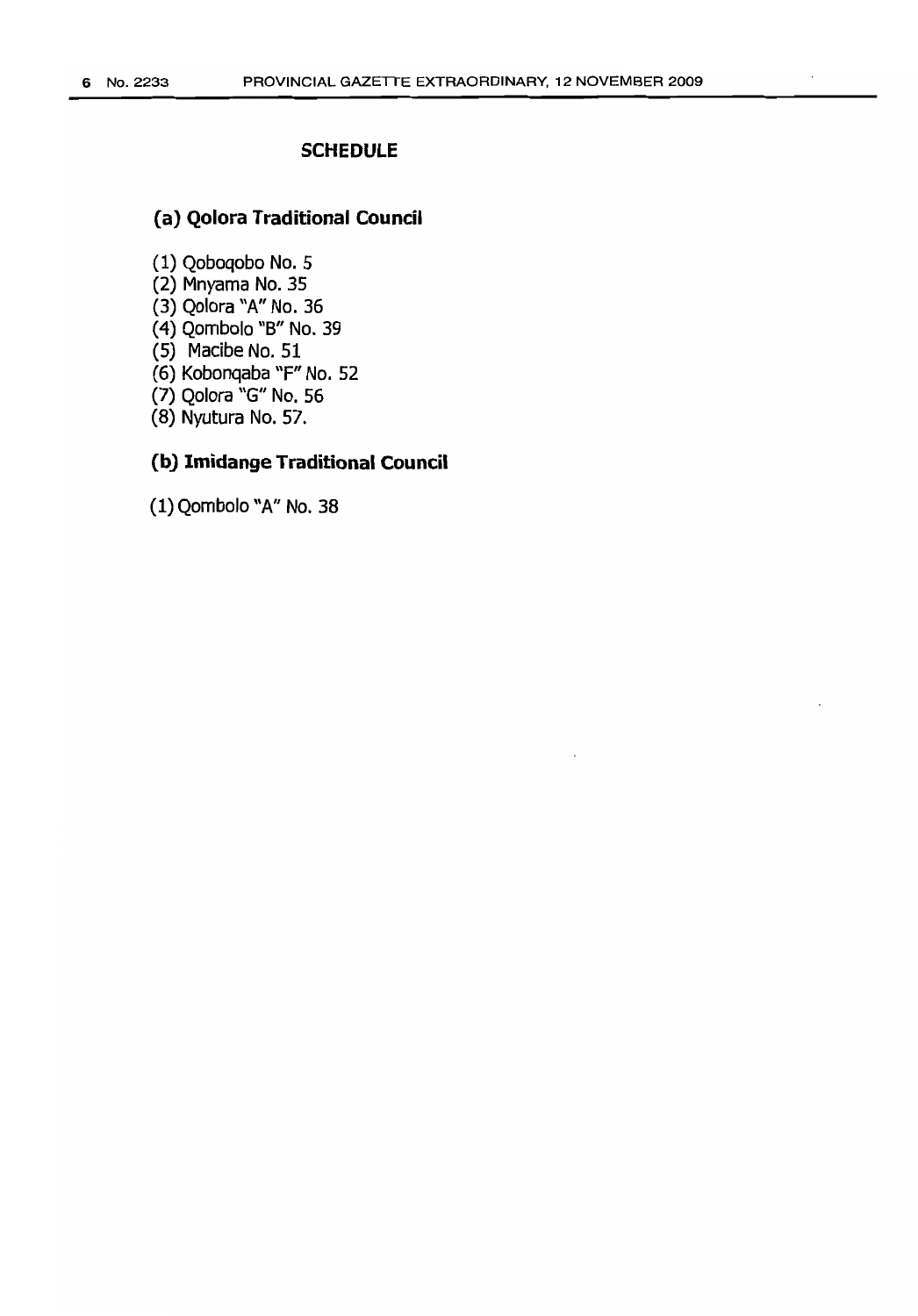# **SCHEDULE**

# **(a) Qolora Traditional Council**

(1) Qoboqobo No.5 (2) Mnyama No. 35 (3) Qolora *"A"* No. 36 (4) Qombolo "B" No. 39 (5) Macibe No. 51 (6) Kobonqaba "F" No. 52 (7) Qolora "G" No. 56

(8) Nyutura No. 57.

# **(b) Imidange Traditional Council**

(1) Qombolo "A" No. 38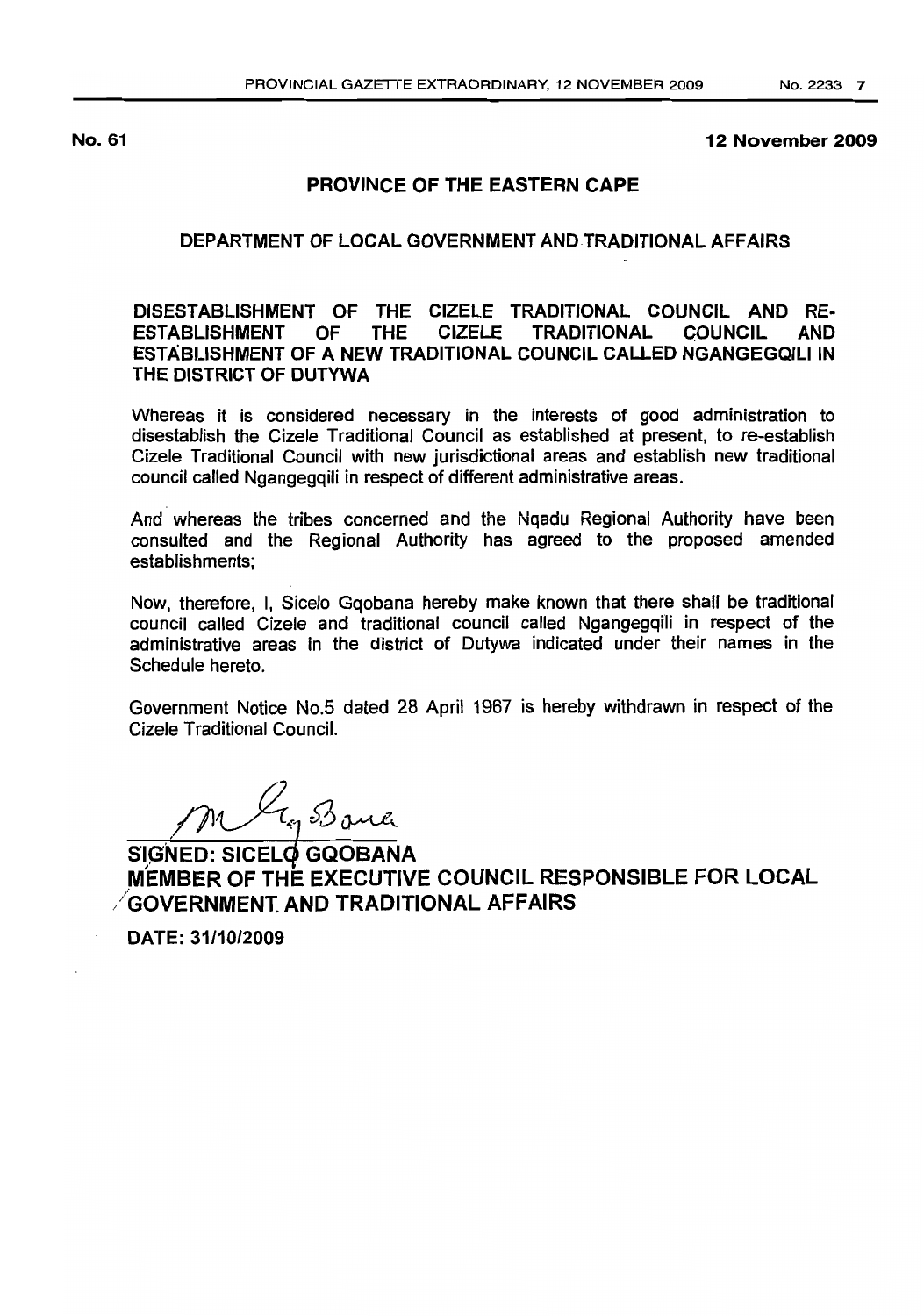#### No. 61 12 November 2009

# PROVINCE OF THE EASTERN CAPE

# DEPARTMENT OF LOCAL GOVERNMENT AND TRADITIONAL AFFAIRS

# DISESTABLISHMENT OF THE CIZELE TRADITIONAL COUNCIL AND RE-ESTABLISHMENT OF THE CIZELE TRADITIONAL COUNCIL AND ESTABLISHMENT OF A NEW TRADITIONAL COUNCIL CALLED NGANGEGQILIIN THE DISTRICT OF DUTYWA

Whereas it is considered necessary in the interests of good administration to disestablish the Cizele Traditional Council as established at present, to re-establish Cizele Traditional Council with new jurisdictional areas and establish new traditional council called Ngangegqili in respect of different administrative areas.

And whereas the tribes concerned and the Nqadu Regional Authority have been consulted and the Regional Authority has agreed to the proposed amended establishments;

Now, therefore, I, Sicelo Gqobana hereby make known that there shall be traditional council called Cizele and traditional council called Ngangegqili in respect of the administrative areas in the district of Dutywa indicated under their names in the Schedule hereto.

Government Notice No.5 dated 28 April 1967 is hereby withdrawn in respect of the Cizele Traditional Council.

M ty 30 and

SIGNED: SICELO GQOBANA MEMBER OF THE EXECUTIVE COUNCIL RESPONSIBLE FOR LOCAL /GOVERNMENT AND TRADITIONAL AFFAIRS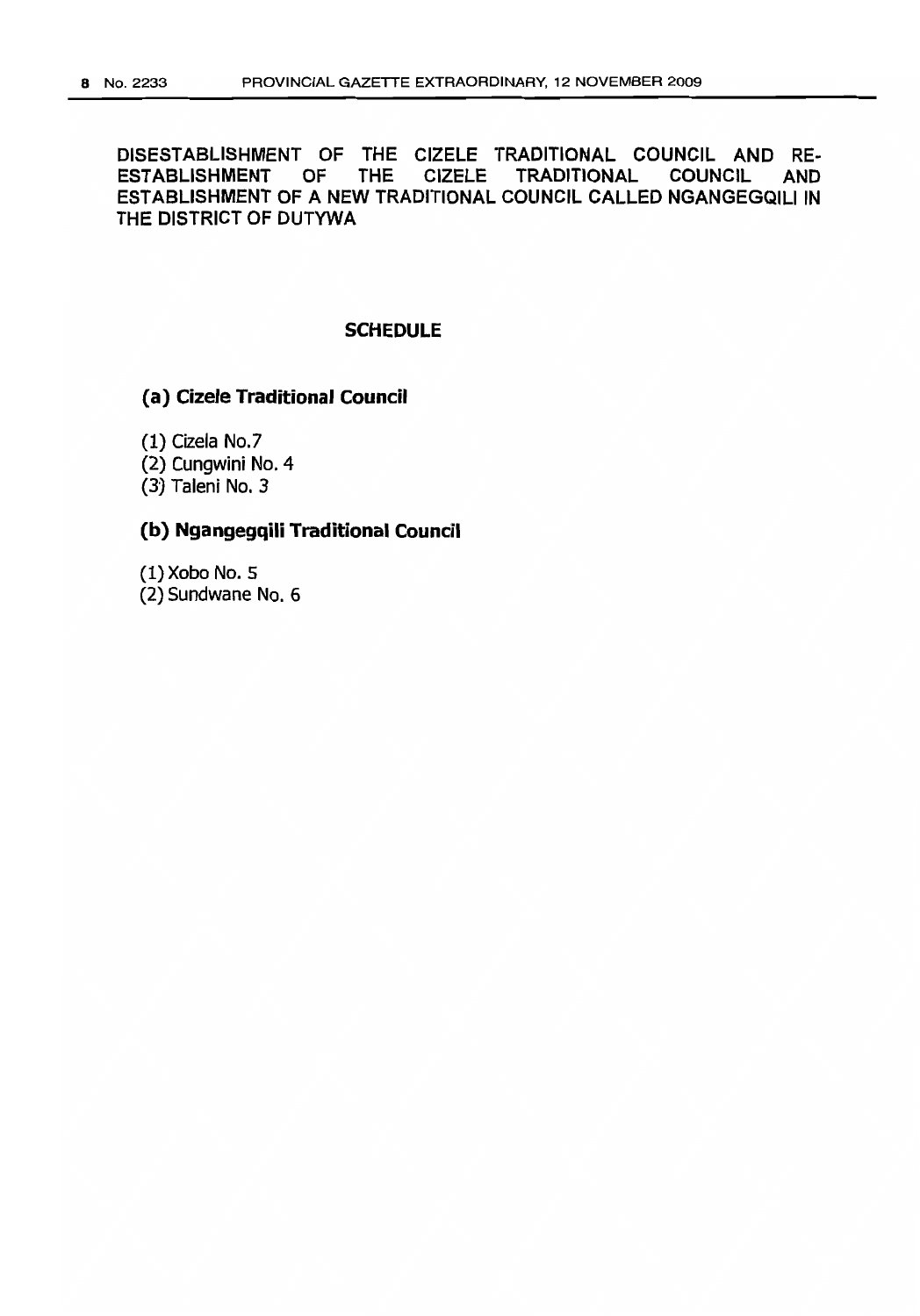DISESTABLISHMENT OF THE CIZELE TRADITIONAL COUNCIL AND RE-ESTABLISHMENT OF THE CIZELE TRADITIONAL COUNCIL AND ESTABLISHMENT OF A NEW TRADITIONAL COUNCIL CALLED NGANGEGQILI IN THE DISTRICT OF DUTYWA

#### **SCHEDULE**

# (a) Cizele Traditional Council

(1) Cizela No.7 (2) Cungwini No.4 (3) Taleni No. 3

# (b) Ngangegqili Traditional Council

(1) Xobo No.5 (2) Sundwane No.6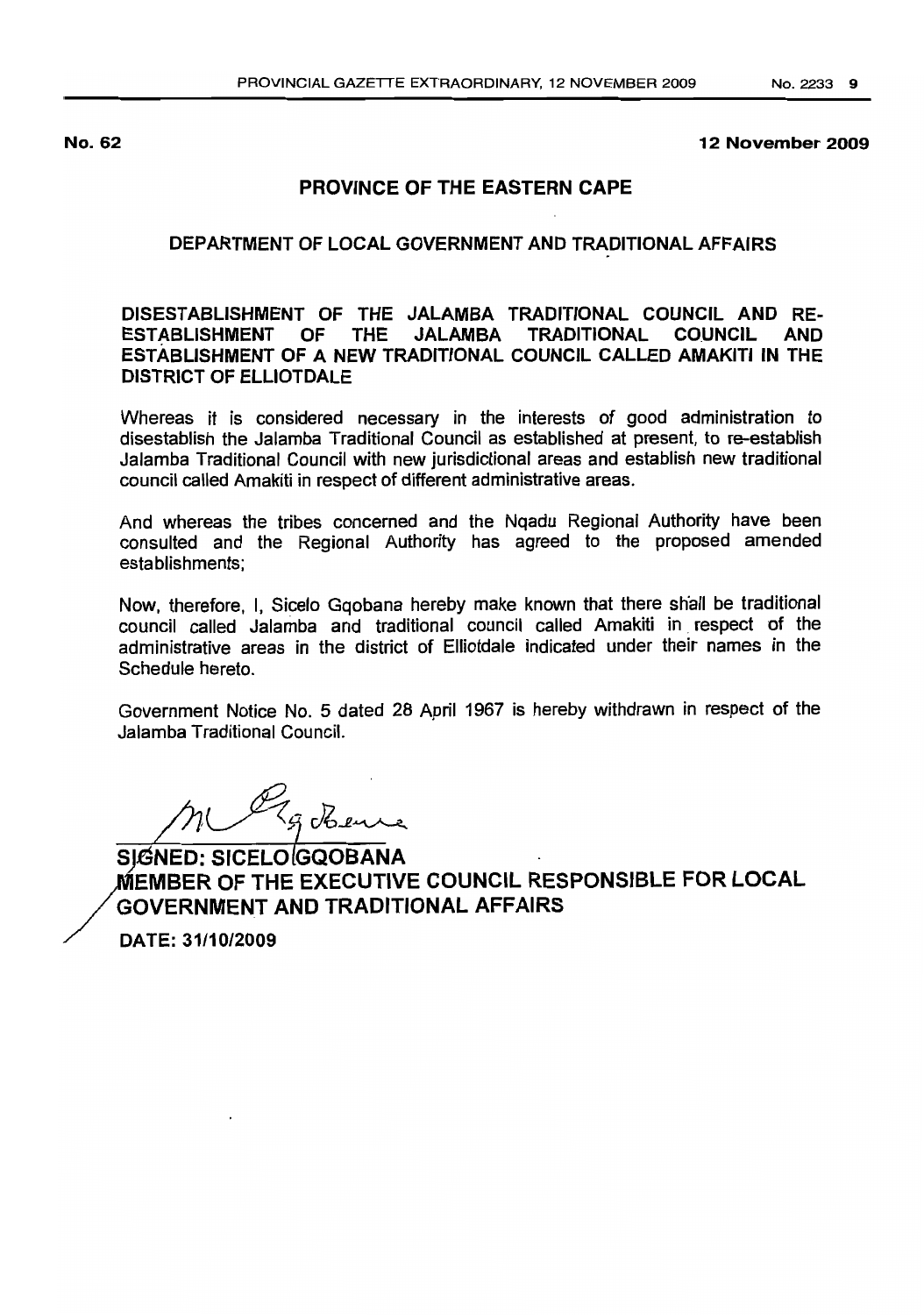No. 62 12 November 2009

# PROVINCE OF THE EASTERN CAPE

### DEPARTMENT OF LOCAL GOVERNMENT AND TRADITIONAL AFFAIRS

# DISESTABLISHMENT OF THE JALAMBA TRADITIONAL COUNCIL AND RE-ESTABLISHMENT OF THE JALAMBA TRADITIONAL COUNCIL AND ESTABLISHMENT OF A NEW TRADITIONAL COUNCIL CALLED AMAKITI IN THE DISTRICT OF ELLIOTDALE

Whereas it is considered necessary in the interests of good administration to disestablish the Jalamba Traditional Council as established at present, to re-establish Jalamba Traditional Council with new jurisdictional areas and establish new traditional council called Amakiti in respect of different administrative areas.

And whereas the tribes concerned and the Nqadu Regional Authority have been consulted and the Regional Authority has agreed to the proposed amended establishments;

Now. therefore, I, Sicelo Gqobana hereby make known that there shall be traditional council called Jalamba and traditional council called Amakiti in, respect of the administrative areas in the district of Elliotdale indicated under their names in the Schedule hereto.

Government Notice No. 5 dated 28 April 1967 is hereby withdrawn in respect of the Jalamba Traditional Council.

SIGNED: SICELO GQOBANA MEMBER OF THE EXECUTIVE COUNCIL RESPONSIBLE FOR LOCAL GOVERNMENT AND TRADITIONAL AFFAIRS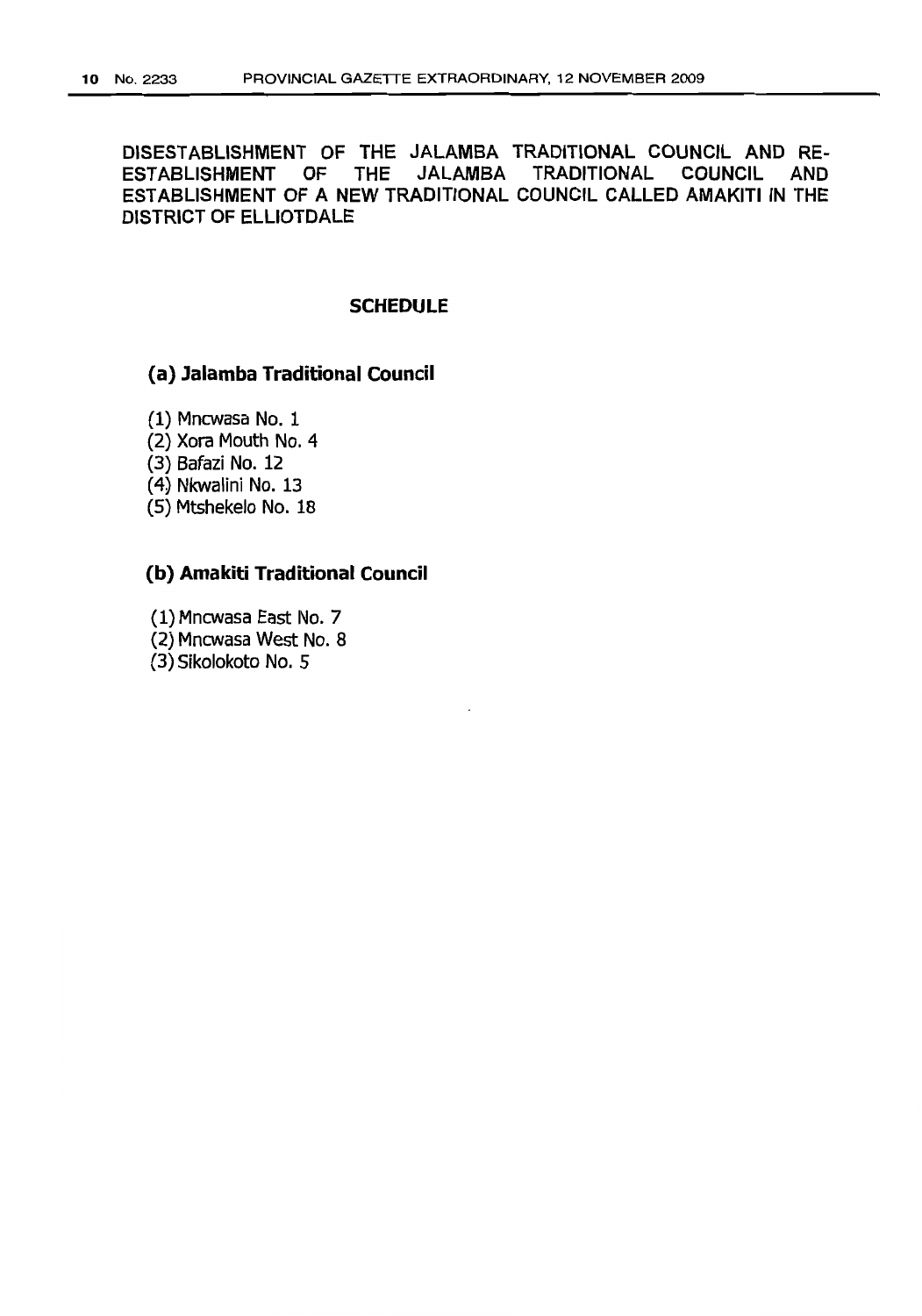DISESTABLISHMENT OF THE JALAMBA TRADITIONAL COUNCIL AND RE-ESTABLISHMENT OF THE JALAMBA TRADITIONAL COUNCIL AND ESTABLISHMENT OF A NEW TRADITIONAL COUNCIL CALLED AMAKITI IN THE DISTRICT OF ELLIOTDALE

# **SCHEDULE**

# (a) **Jalamba Traditional Council**

(1) Mncwasa No.1 (2) Xora Mouth No. 4 (3) Bafazi No. 12 (4) Nkwalini No. 13 (5) Mtshekelo No. 18

# **(b) Amakiti Traditional Council**

(1) Mncwasa East No.7 (2) Mncwasa West No.8 (3) Sikolokoto No. 5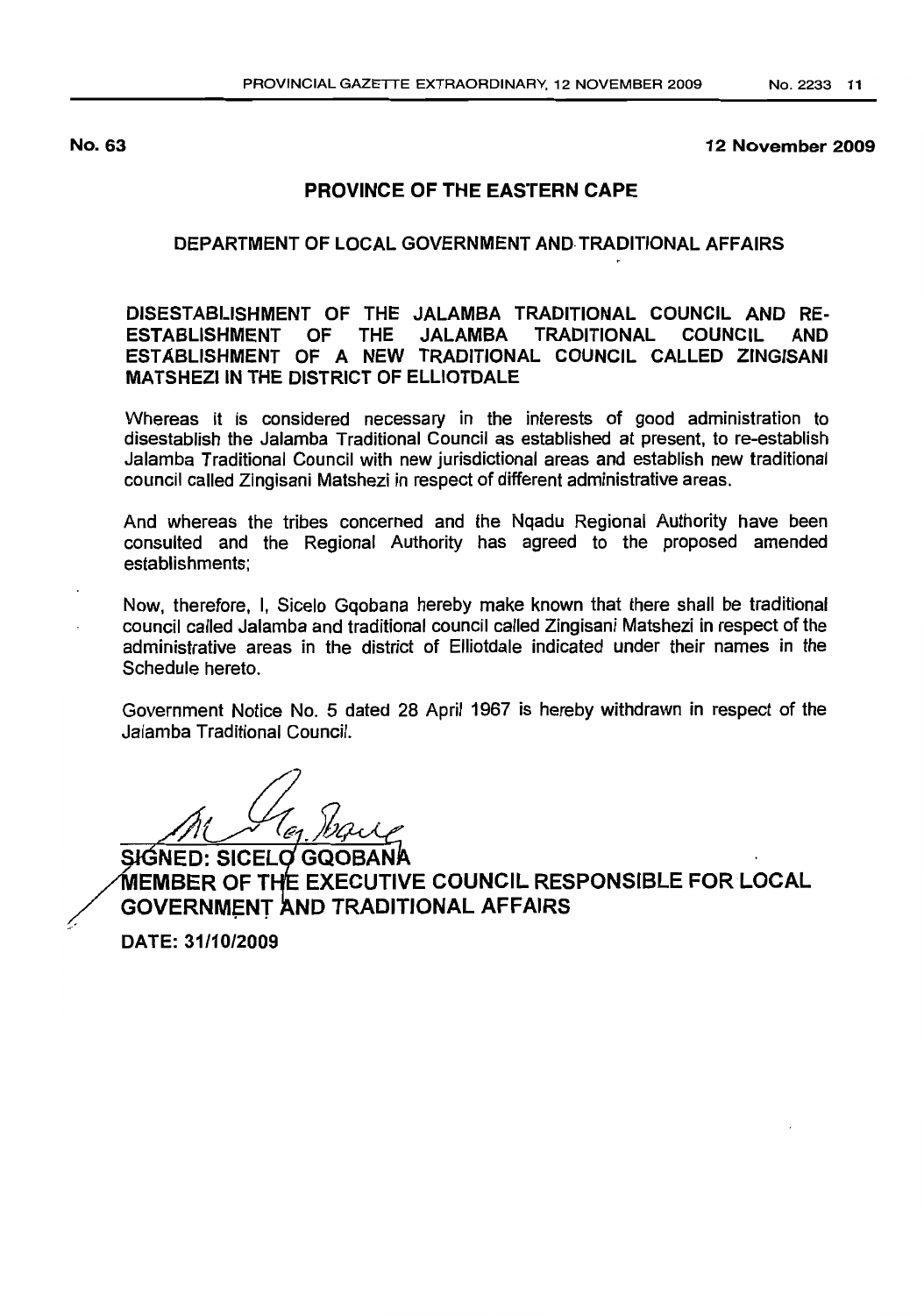No. 63 12 November 2009

# PROVINCE OF THE EASTERN CAPE

# DEPARTMENT OF LOCAL GOVERNMENT AND TRADITIONAL AFFAIRS

DISESTABI.JSHMENT OF THE JALAMBA TRADITIONAL COUNCIL AND RE-ESTABLISHMENT OF THE JALAMBA TRADITIONAL COUNCIL AND ESTABLISHMENT OF A NEW TRADITIONAL COUNCIL CALLED ZINGISANI MATSHEZI IN THE DISTRICT OF ELLIOTDALE

Whereas it is considered necessary in the interests of good administration to disestablish the Jalamba Traditional Council as established at present, to re-establish Jalamba Traditional Council with new jurisdictional areas and establish new traditional council called Zingisani Matshezi in respect of different administrative areas.

And whereas the tribes concerned and the Nqadu Regionai Authority have been consulted and the Regional Authority has agreed to the proposed amended establishments;

Now, therefore, I, Sicelo Gqobana hereby make known that there shall be traditional council called Jalamba and traditional council called Zingisani Matshezi in respect of the administrative areas in the district of Elliotdale indicated under their names in the Schedule hereto.

Government Notice No. 5 dated 28 April 1967 is hereby withdrawn in respect of the Jalamba Traditional Council.

**SIGNED: SICELO GOOBANA** MEMBER OF THE EXECUTIVE COUNCIL RESPONSIBLE FOR LOCAL **GOVERNMENT AND TRADITIONAL AFFAIRS**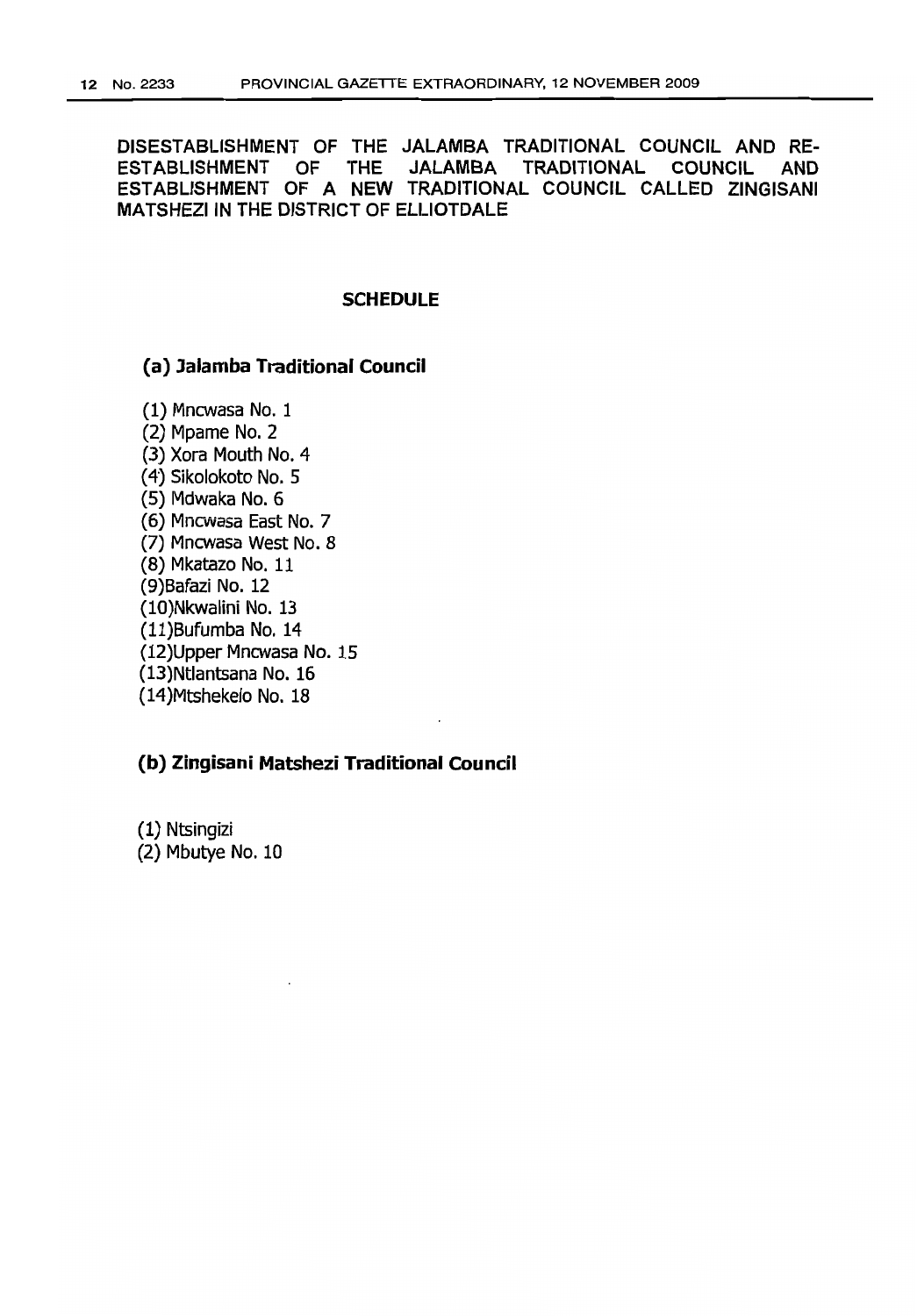DISESTABLISHMENT OF THE JALAMBA TRADITIONAL COUNCIL AND RE-ESTABLISHMENT OF THE JALAMBA TRADITIONAL COUNCIL AND ESTABLISHMENT OF A NEW TRADITIONAL COUNCIL CALLED ZINGISANI MATSHEZI IN THE DISTRICT OF ELLIOTDALE

#### **SCHEDULE**

#### (a) Jalamba Traditional Council

(1) Mncwasa No.1 (2) Mpame No. 2 (3) Xora Mouth No.4 (4) Sikolokoto No.5 (5) Mdwaka No.6 (6) Mncwasa East No. 7 (7) Mncwasa West No.8 (8) Mkatazo No. 11 (9)Bafazi No. 12 (10)Nkwalini No. 13 (11)Bufumba No. 14 (12)Upper Mncwasa No. 15 (13)Ntlantsana No. 16 (14)Mtshekelo No. 18

### (b) Zingisani Matshezi Traditional Council

(1) Ntsingizi (2) Mbutye No. 10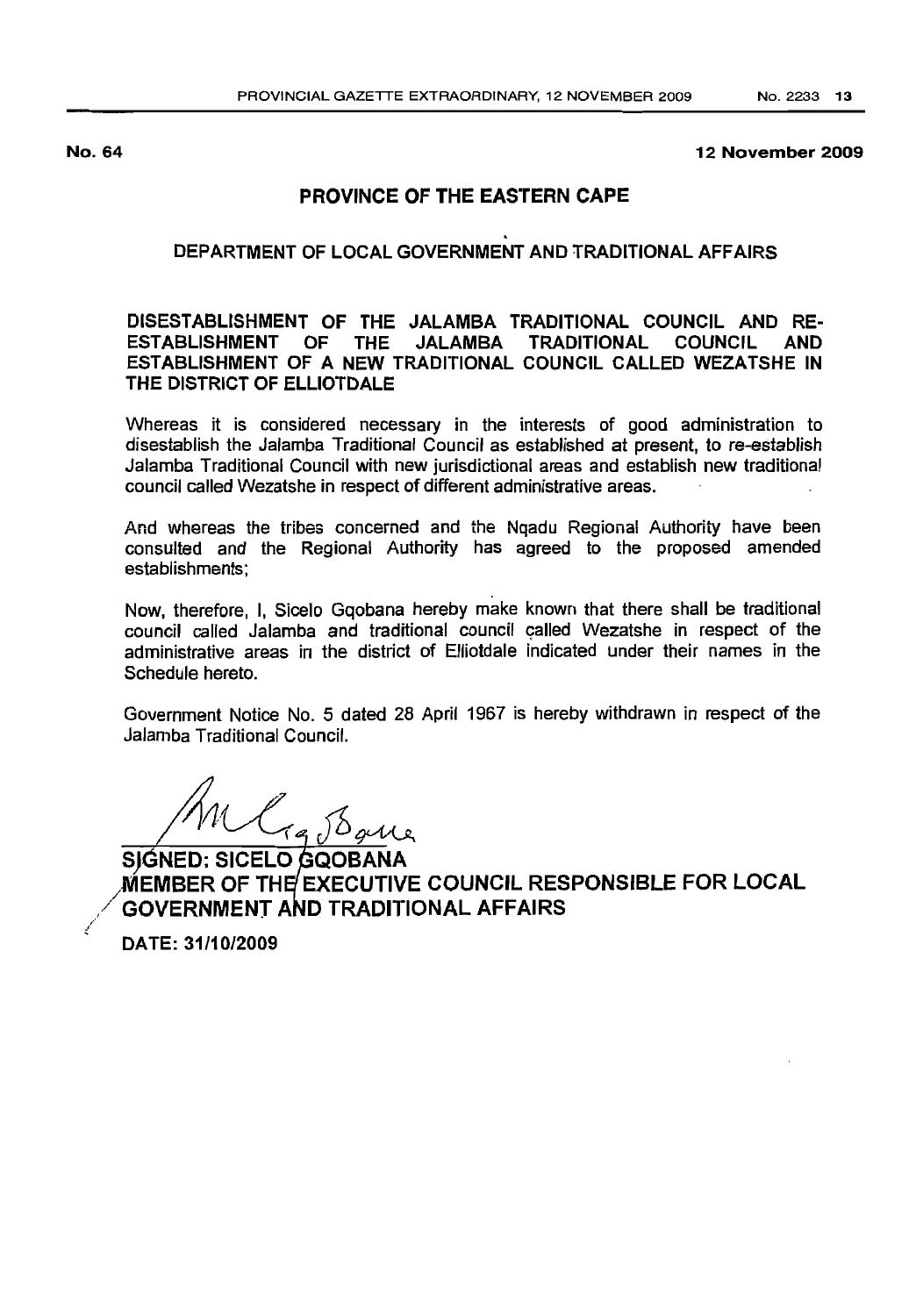#### No. 64 12 November 2009

# PROVINCE OF THE EASTERN CAPE

# . DEPARTMENT OF LOCAL GOVERNMENT AND TRADITIONAL AFFAIRS

# DISESTABLISHMENT OF THE JALAMBA TRADITIONAL COUNCIL AND RE-ESTABLISHMENT OF THE JALAMBA TRADITIONAL COUNCIL AND ESTABLISHMENT OF A NEW TRADITIONAL COUNCIL CALLED WEZATSHE IN THE DISTRICT OF FLLIOTDALE

Whereas it is considered necessary in the interests of good administration to disestablish the Jalamba Traditional Council as established at present, to re-establish Jalamba Traditional Council with new jurisdictional areas and establish new traditional council called Wezatshe in respect of different administrative areas.

And whereas the tribes concerned and the Nqadu Regional Authority have been consulted and the Regional Authority has agreed to the proposed amended establishments;

Now, therefore, I, Sicelo Gqobana hereby make known that there shall be traditional council called Jalamba and traditional council called Wezatshe in respect of the administrative areas in the district of Elliotdale indicated under their names in the Schedule hereto.

Government Notice No. 5 dated 28 April 1967 is hereby withdrawn in respect of the Jalamba Traditional Council.

 $\mathcal{U}_{\mathcal{A}}$  Bane

SIGNED: SICELO GQOBANA MEMBER OF THE EXECUTIVE COUNCIL RESPONSIBLE FOR LOCAL GOVERNMENT AND TRADITIONAL AFFAIRS

DATE: 31/10/2009

/

;/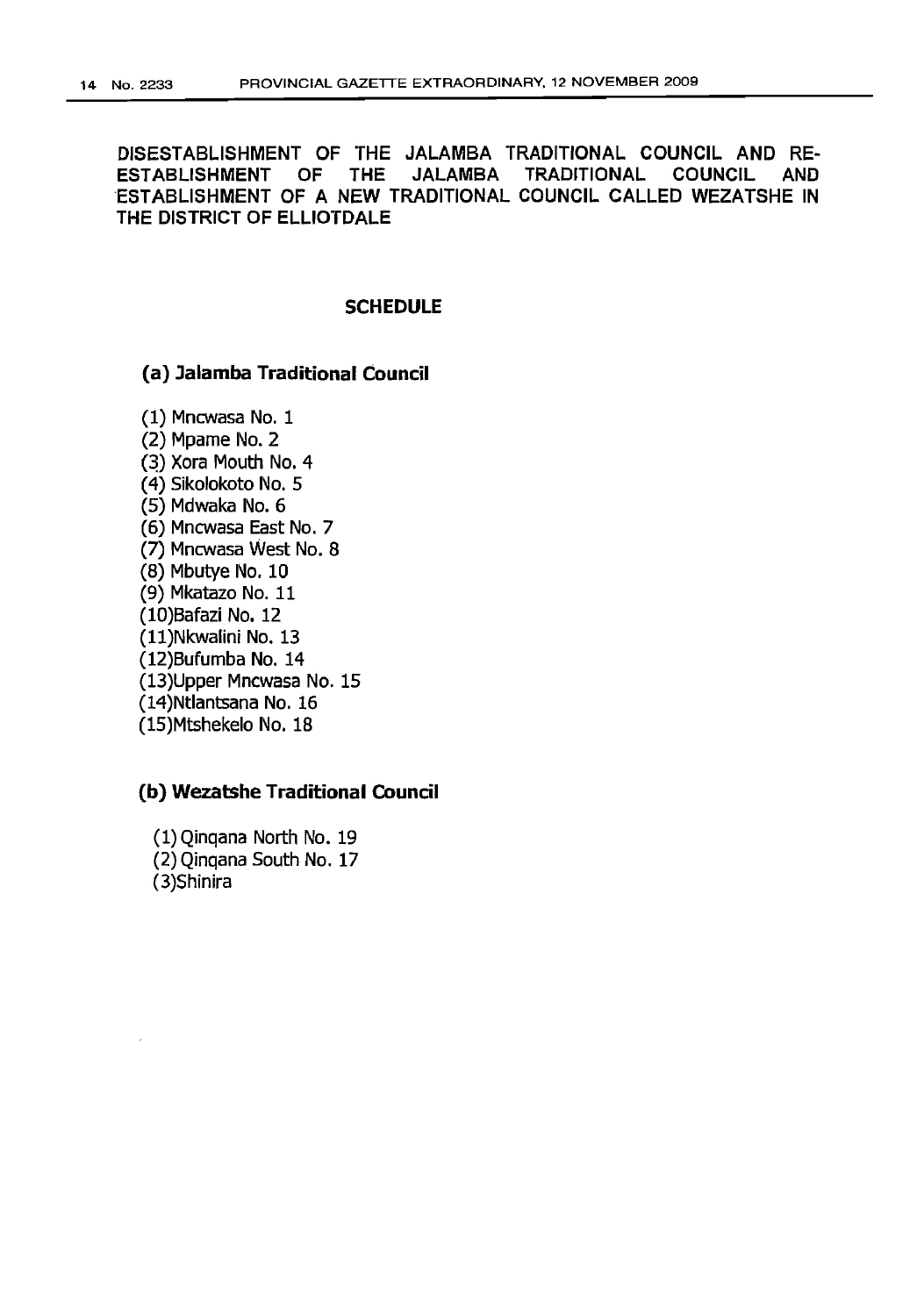**DISESTABLISHMENT OF THE JALAMBA TRADITIONAL COUNCIL AND RE-ESTABLISHMENT OF THE JALAMBA TRADITIONAL COUNCIL AND 'ESTABLISHMENT OF A NEW TRADITIONAL COUNCIL CALLED WEZATSHE IN THE DISTRICT OF ELLIOTDALE**

### **SCHEDULE**

# **(a) Jalamba Traditional Council**

(1) Mncwasa No.1 (2) Mpame No. 2 (3) Xora Mouth No. 4 (4) Sikolokoto No. 5 (5) Mdwaka No.6 (6) Mncwasa East No. 7 (7) Mncwasa West No. 8 (8) Mbutye No. 10 (9) Mkatazo No. 11 (10)Bafazi No. 12 (11)Nkwalini No. 13 (12)Bufumba No. 14 (13)Upper Mncwasa No. 15 (14)Ntlantsana No. 16 (15)Mtshekelo No. 18

# **(b) Wezatshe Traditional Council**

(1) Qinqana North No. 19 (2) Qinqana South No. 17 (3)Shinira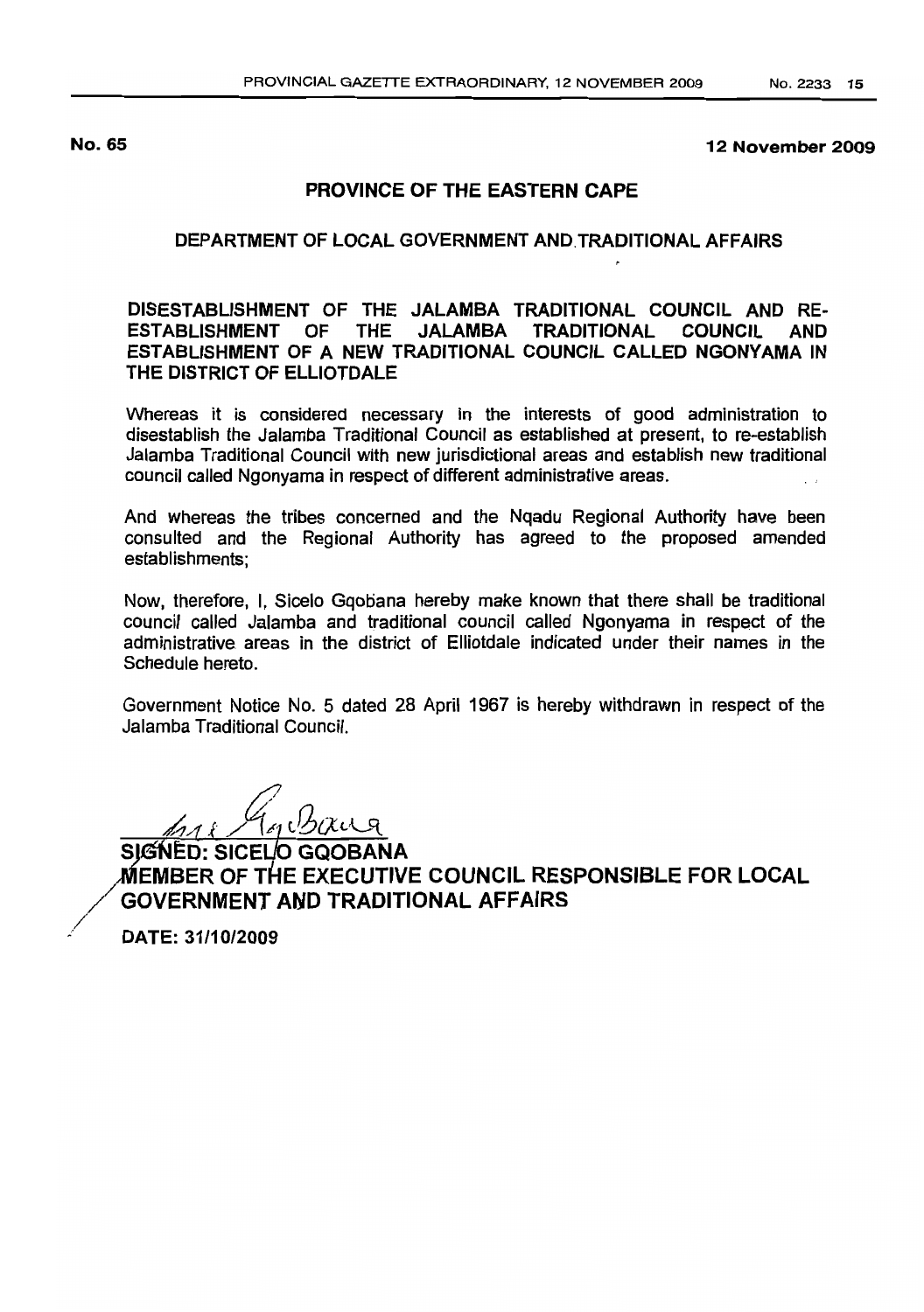No. 65 12 November 2009

# PROVINCE OF THE EASTERN CAPE

# DEPARTMENT OF LOCAL GOVERNMENT AND TRADITIONAL AFFAIRS

# DISESTABLISHMENT OF THE JALAMBA TRADITIONAL COUNCIL AND RE-ESTABLISHMENT OF THE JALAMBA TRADITIONAL COUNCIL AND ESTABLISHMENT OF A NEW TRADITIONAL COUNCIL CALLED NGONYAMA IN THE DISTRICT OF ELLIOTDALE

Whereas it is considered necessary in the interests of good administration to disestablish the Jalamba Traditional Council as established at present, to re-establish Jalamba Traditional Council with new jurisdictional areas and establish new traditional council called Ngonyama in respect of different administrative areas.

And whereas the tribes concerned and the Nqadu Regional Authority have been consulted and the Regional Authority has agreed to the proposed amended establishments;

Now, therefore, I, Sicelo Gqobana hereby make known that there shall be traditional council called Jalamba and traditional council called Ngonyama in respect of the administrative areas in the district of Elliotdale indicated under their names in the Schedule hereto.

Government Notice No. 5 dated 28 April 1967 is hereby withdrawn in respect of the Jalamba Traditional Council.

 $M1$  of USCKUR

GNED: SICEL/O GQOBANA EMBER OF THE EXECUTIVE COUNCIL RESPONSIBLE FOR LOCAL GOVERNMENT AND TRADITIONAL AFFAIRS

. DATE: 31/10/2009

/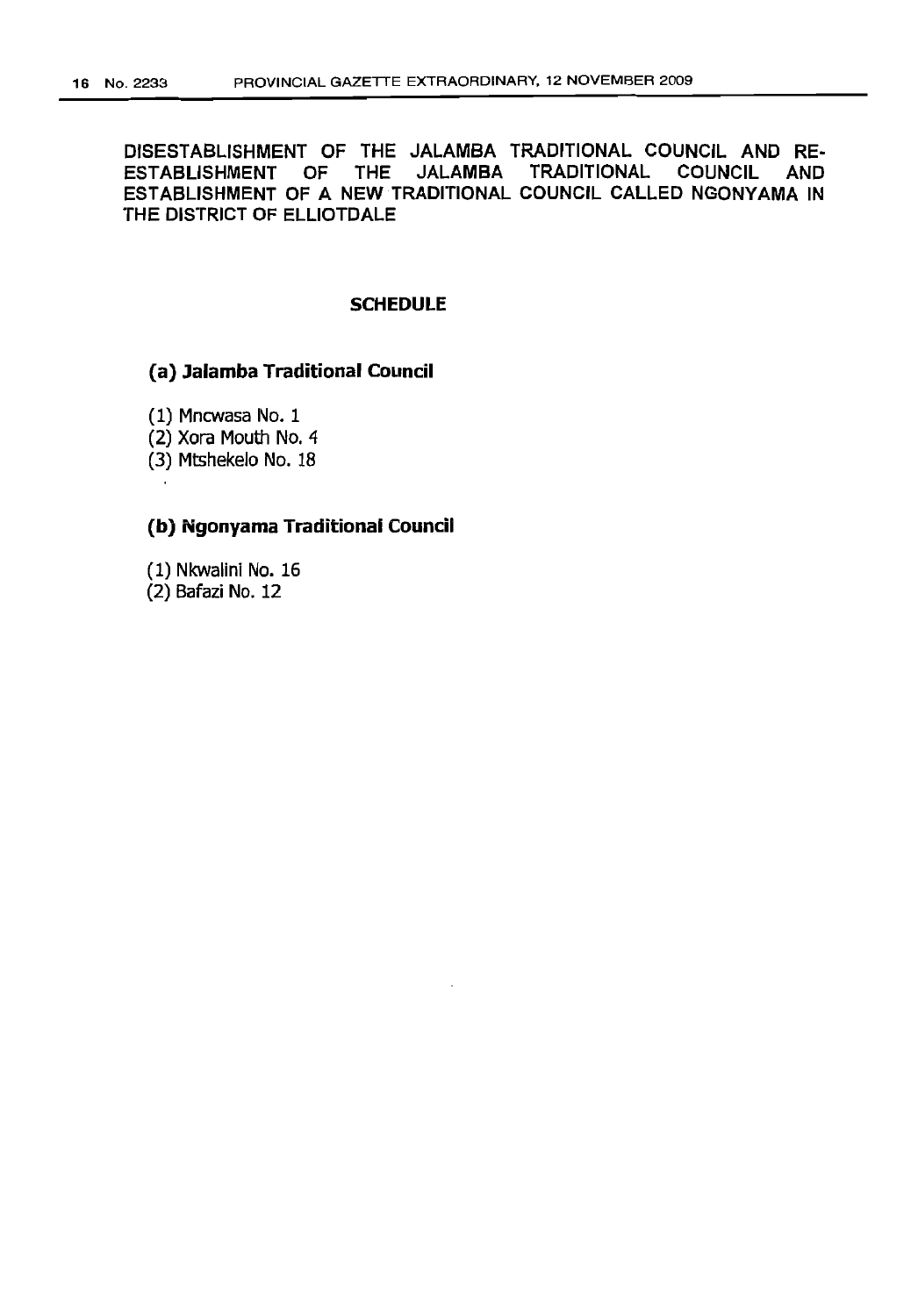DISESTABLISHMENT OF THE JALAMBA TRADITIONAL COUNCIL AND RE-ESTABLISHMENT OF THE JALAMBA TRADITIONAL COUNCIL AND ESTABLISHMENT OF A NEW TRADITIONAL COUNCIL CALLED NGONYAMA IN THE DISTRICT OF ELLIOTDALE

#### **SCHEDULE**

### (a) Jalamba Traditional Council

(1) Mncwasa No. 1 (2) Xora Mouth No.4 (3) Mtshekelo No. 18

# (b) Ngonyama Traditional Council

(1) Nkwalini No. 16 (2) Bafazi No. 12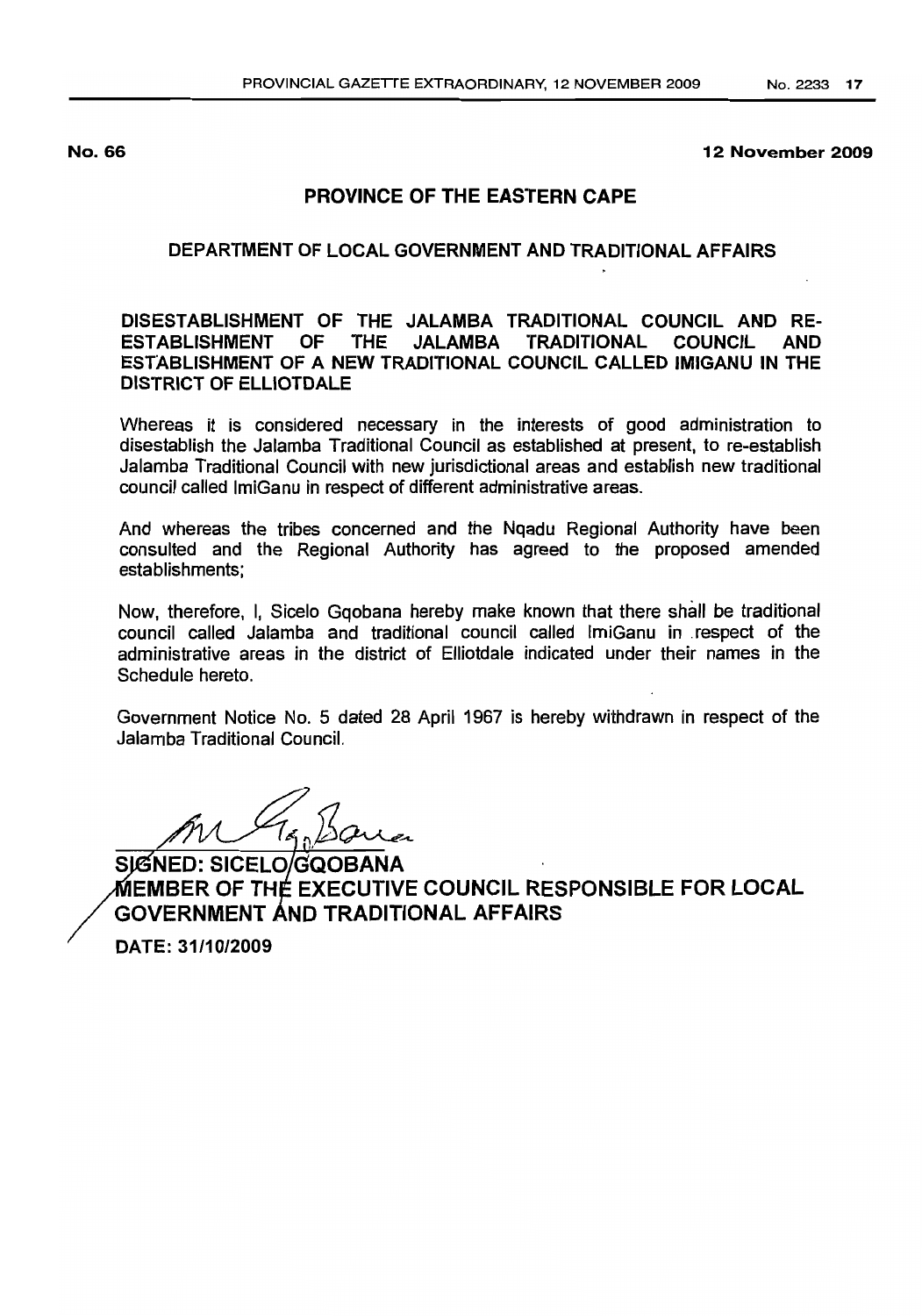#### No. 66 12 November 2009

# PROVINCE OF THE EASTERN CAPE

# DEPARTMENTOF LOCAL GOVERNMENT AND TRADITIONAL AFFAIRS

# DISESTABLISHMENT OF THE JALAMBA TRADITIONAL COUNCIL AND RE-ESTABLISHMENT OF THE JALAMBA TRADITIONAL COUNCIL AND ESTABLISHMENT OF A NEW TRADITIONAL COUNCIL CALLED IMIGANU IN THE DISTRICT OF ELLlOTDALE

Whereas it is considered necessary in the interests of good administration to disestablish the Jalamba Traditional Council as established at present, to re-establish Jalamba Traditional Council with new jurisdictional areas and establish new traditional council called ImiGanu in respect of different administrative areas.

And whereas the tribes concerned and the Nqadu Regional Authority have been consulted and the Regional Authority has agreed to the proposed amended establishments;

Now, therefore, I, Sicelo Gqobana hereby make known that there shall be traditional council called Jalamba and traditional council called ImiGanu in .respect of the administrative areas in the district of Elliotdale indicated under their names in the Schedule hereto.

Government Notice No. 5 dated 28 April 1967 is hereby withdrawn in respect of the Jalarnba Traditional Council.

 $.2$ Cure

SIGNED: SICELO/GQOBANA MEMBER OF THE EXECUTIVE COUNCIL RESPONSIBLE FOR LOCAL GOVERNMENT AND TRADITIONAL AFFAIRS